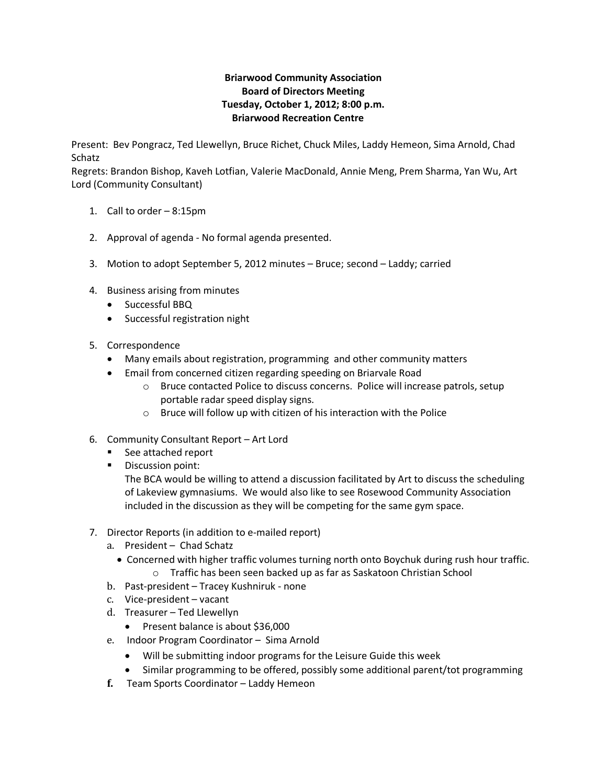## **Briarwood Community Association Board of Directors Meeting Tuesday, October 1, 2012; 8:00 p.m. Briarwood Recreation Centre**

Present: Bev Pongracz, Ted Llewellyn, Bruce Richet, Chuck Miles, Laddy Hemeon, Sima Arnold, Chad Schatz

Regrets: Brandon Bishop, Kaveh Lotfian, Valerie MacDonald, Annie Meng, Prem Sharma, Yan Wu, Art Lord (Community Consultant)

- 1. Call to order 8:15pm
- 2. Approval of agenda No formal agenda presented.
- 3. Motion to adopt September 5, 2012 minutes Bruce; second Laddy; carried
- 4. Business arising from minutes
	- Successful BBQ
	- Successful registration night
- 5. Correspondence
	- Many emails about registration, programming and other community matters
	- Email from concerned citizen regarding speeding on Briarvale Road
		- o Bruce contacted Police to discuss concerns. Police will increase patrols, setup portable radar speed display signs.
		- o Bruce will follow up with citizen of his interaction with the Police
- 6. Community Consultant Report Art Lord
	- See attached report
	- **Discussion point:**

The BCA would be willing to attend a discussion facilitated by Art to discuss the scheduling of Lakeview gymnasiums. We would also like to see Rosewood Community Association included in the discussion as they will be competing for the same gym space.

- 7. Director Reports (in addition to e-mailed report)
	- a. President Chad Schatz
		- Concerned with higher traffic volumes turning north onto Boychuk during rush hour traffic. o Traffic has been seen backed up as far as Saskatoon Christian School
	- b. Past-president Tracey Kushniruk none
	- c. Vice-president vacant
	- d. Treasurer Ted Llewellyn
		- Present balance is about \$36,000
	- e. Indoor Program Coordinator Sima Arnold
		- Will be submitting indoor programs for the Leisure Guide this week
		- Similar programming to be offered, possibly some additional parent/tot programming
	- **f.** Team Sports Coordinator Laddy Hemeon